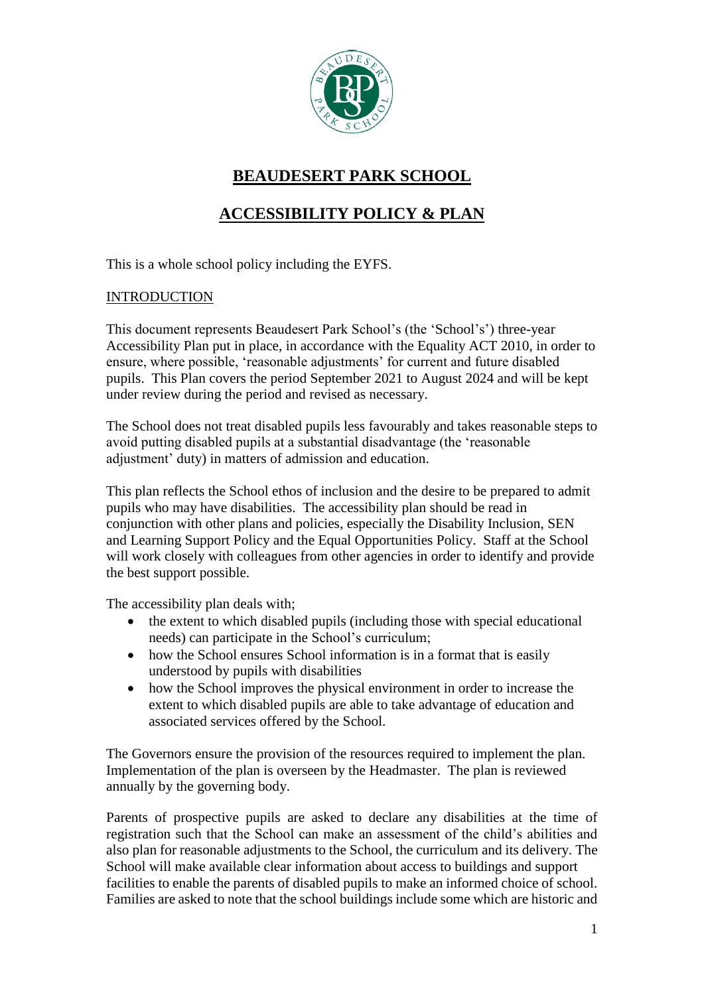

# **BEAUDESERT PARK SCHOOL**

## **ACCESSIBILITY POLICY & PLAN**

This is a whole school policy including the EYFS.

### INTRODUCTION

This document represents Beaudesert Park School's (the 'School's') three-year Accessibility Plan put in place, in accordance with the Equality ACT 2010, in order to ensure, where possible, 'reasonable adjustments' for current and future disabled pupils. This Plan covers the period September 2021 to August 2024 and will be kept under review during the period and revised as necessary.

The School does not treat disabled pupils less favourably and takes reasonable steps to avoid putting disabled pupils at a substantial disadvantage (the 'reasonable adjustment' duty) in matters of admission and education.

This plan reflects the School ethos of inclusion and the desire to be prepared to admit pupils who may have disabilities. The accessibility plan should be read in conjunction with other plans and policies, especially the Disability Inclusion, SEN and Learning Support Policy and the Equal Opportunities Policy. Staff at the School will work closely with colleagues from other agencies in order to identify and provide the best support possible.

The accessibility plan deals with;

- the extent to which disabled pupils (including those with special educational needs) can participate in the School's curriculum;
- how the School ensures School information is in a format that is easily understood by pupils with disabilities
- how the School improves the physical environment in order to increase the extent to which disabled pupils are able to take advantage of education and associated services offered by the School.

The Governors ensure the provision of the resources required to implement the plan. Implementation of the plan is overseen by the Headmaster. The plan is reviewed annually by the governing body.

Parents of prospective pupils are asked to declare any disabilities at the time of registration such that the School can make an assessment of the child's abilities and also plan for reasonable adjustments to the School, the curriculum and its delivery. The School will make available clear information about access to buildings and support facilities to enable the parents of disabled pupils to make an informed choice of school. Families are asked to note that the school buildings include some which are historic and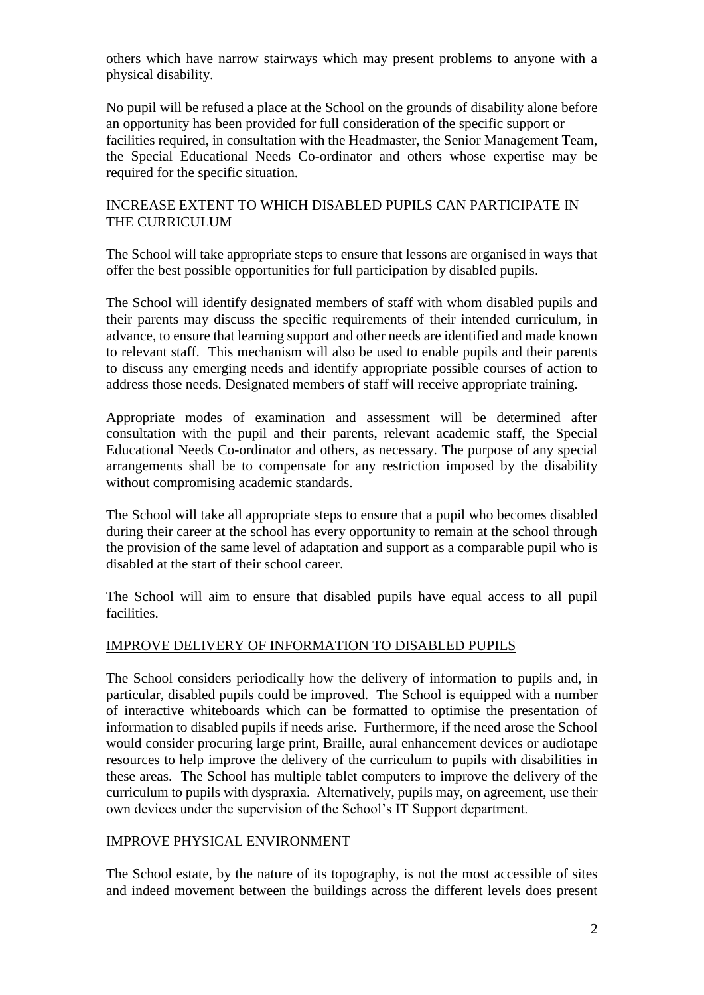others which have narrow stairways which may present problems to anyone with a physical disability.

No pupil will be refused a place at the School on the grounds of disability alone before an opportunity has been provided for full consideration of the specific support or facilities required, in consultation with the Headmaster, the Senior Management Team, the Special Educational Needs Co-ordinator and others whose expertise may be required for the specific situation.

### INCREASE EXTENT TO WHICH DISABLED PUPILS CAN PARTICIPATE IN THE CURRICULUM

The School will take appropriate steps to ensure that lessons are organised in ways that offer the best possible opportunities for full participation by disabled pupils.

The School will identify designated members of staff with whom disabled pupils and their parents may discuss the specific requirements of their intended curriculum, in advance, to ensure that learning support and other needs are identified and made known to relevant staff. This mechanism will also be used to enable pupils and their parents to discuss any emerging needs and identify appropriate possible courses of action to address those needs. Designated members of staff will receive appropriate training.

Appropriate modes of examination and assessment will be determined after consultation with the pupil and their parents, relevant academic staff, the Special Educational Needs Co-ordinator and others, as necessary. The purpose of any special arrangements shall be to compensate for any restriction imposed by the disability without compromising academic standards.

The School will take all appropriate steps to ensure that a pupil who becomes disabled during their career at the school has every opportunity to remain at the school through the provision of the same level of adaptation and support as a comparable pupil who is disabled at the start of their school career.

The School will aim to ensure that disabled pupils have equal access to all pupil facilities.

## IMPROVE DELIVERY OF INFORMATION TO DISABLED PUPILS

The School considers periodically how the delivery of information to pupils and, in particular, disabled pupils could be improved. The School is equipped with a number of interactive whiteboards which can be formatted to optimise the presentation of information to disabled pupils if needs arise. Furthermore, if the need arose the School would consider procuring large print, Braille, aural enhancement devices or audiotape resources to help improve the delivery of the curriculum to pupils with disabilities in these areas. The School has multiple tablet computers to improve the delivery of the curriculum to pupils with dyspraxia. Alternatively, pupils may, on agreement, use their own devices under the supervision of the School's IT Support department.

### IMPROVE PHYSICAL ENVIRONMENT

The School estate, by the nature of its topography, is not the most accessible of sites and indeed movement between the buildings across the different levels does present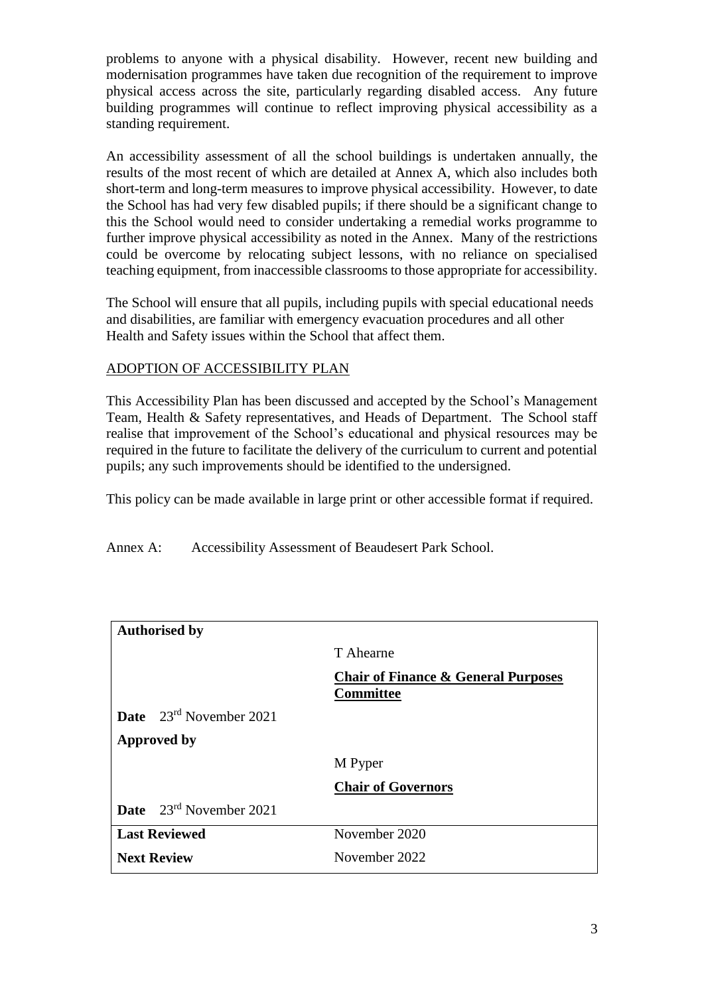problems to anyone with a physical disability. However, recent new building and modernisation programmes have taken due recognition of the requirement to improve physical access across the site, particularly regarding disabled access. Any future building programmes will continue to reflect improving physical accessibility as a standing requirement.

An accessibility assessment of all the school buildings is undertaken annually, the results of the most recent of which are detailed at Annex A, which also includes both short-term and long-term measures to improve physical accessibility. However, to date the School has had very few disabled pupils; if there should be a significant change to this the School would need to consider undertaking a remedial works programme to further improve physical accessibility as noted in the Annex. Many of the restrictions could be overcome by relocating subject lessons, with no reliance on specialised teaching equipment, from inaccessible classrooms to those appropriate for accessibility.

The School will ensure that all pupils, including pupils with special educational needs and disabilities, are familiar with emergency evacuation procedures and all other Health and Safety issues within the School that affect them.

### ADOPTION OF ACCESSIBILITY PLAN

This Accessibility Plan has been discussed and accepted by the School's Management Team, Health & Safety representatives, and Heads of Department. The School staff realise that improvement of the School's educational and physical resources may be required in the future to facilitate the delivery of the curriculum to current and potential pupils; any such improvements should be identified to the undersigned.

This policy can be made available in large print or other accessible format if required.

Annex A: Accessibility Assessment of Beaudesert Park School.

| <b>Authorised by</b>                       |                                                                    |  |  |  |  |  |
|--------------------------------------------|--------------------------------------------------------------------|--|--|--|--|--|
|                                            | T Ahearne                                                          |  |  |  |  |  |
|                                            | <b>Chair of Finance &amp; General Purposes</b><br><b>Committee</b> |  |  |  |  |  |
| <b>Date</b> $23^{rd}$ November 2021        |                                                                    |  |  |  |  |  |
| <b>Approved by</b>                         |                                                                    |  |  |  |  |  |
|                                            | M Pyper                                                            |  |  |  |  |  |
|                                            | <b>Chair of Governors</b>                                          |  |  |  |  |  |
| <b>Date</b> $23^{\text{rd}}$ November 2021 |                                                                    |  |  |  |  |  |
| <b>Last Reviewed</b>                       | November 2020                                                      |  |  |  |  |  |
| <b>Next Review</b>                         | November 2022                                                      |  |  |  |  |  |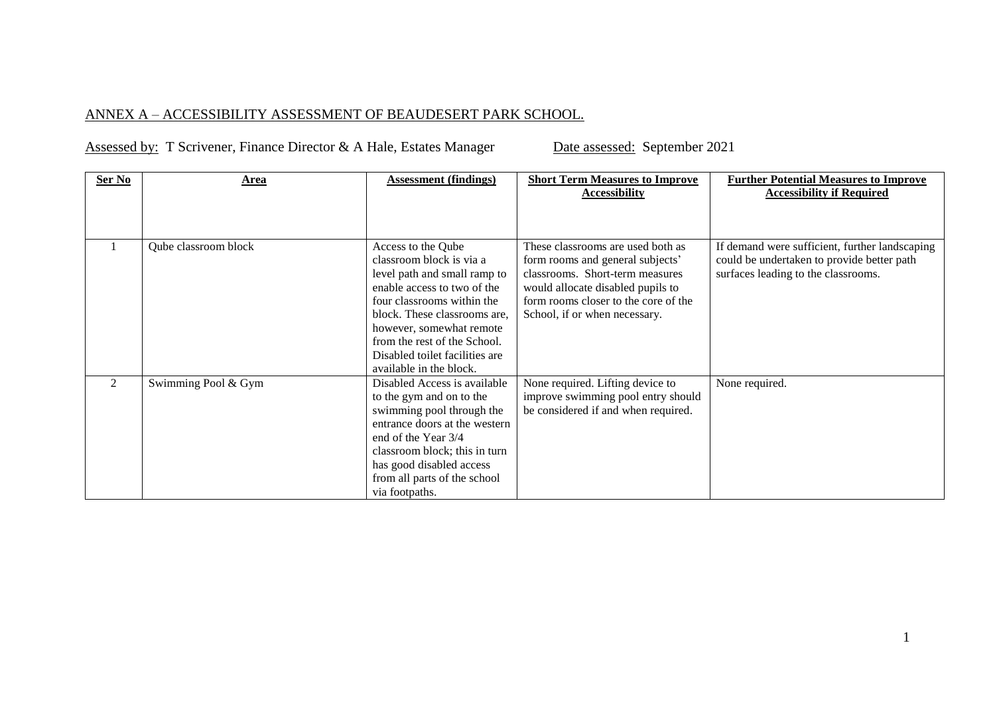## ANNEX A – ACCESSIBILITY ASSESSMENT OF BEAUDESERT PARK SCHOOL.

|  |  | <b>Assessed by: T Scrivener, Finance Director &amp; A Hale, Estates Manager</b> |  |  |
|--|--|---------------------------------------------------------------------------------|--|--|
|--|--|---------------------------------------------------------------------------------|--|--|

Date assessed: September 2021

| Ser No | <u>Area</u>          | <b>Assessment (findings)</b>   | <b>Short Term Measures to Improve</b><br><b>Accessibility</b> | <b>Further Potential Measures to Improve</b><br><b>Accessibility if Required</b> |
|--------|----------------------|--------------------------------|---------------------------------------------------------------|----------------------------------------------------------------------------------|
|        |                      |                                |                                                               |                                                                                  |
|        | Qube classroom block | Access to the Qube             | These classrooms are used both as                             | If demand were sufficient, further landscaping                                   |
|        |                      | classroom block is via a       | form rooms and general subjects'                              | could be undertaken to provide better path                                       |
|        |                      | level path and small ramp to   | classrooms. Short-term measures                               | surfaces leading to the classrooms.                                              |
|        |                      | enable access to two of the    | would allocate disabled pupils to                             |                                                                                  |
|        |                      | four classrooms within the     | form rooms closer to the core of the                          |                                                                                  |
|        |                      | block. These classrooms are,   | School, if or when necessary.                                 |                                                                                  |
|        |                      | however, somewhat remote       |                                                               |                                                                                  |
|        |                      | from the rest of the School.   |                                                               |                                                                                  |
|        |                      | Disabled toilet facilities are |                                                               |                                                                                  |
|        |                      | available in the block.        |                                                               |                                                                                  |
| 2      | Swimming Pool & Gym  | Disabled Access is available   | None required. Lifting device to                              | None required.                                                                   |
|        |                      | to the gym and on to the       | improve swimming pool entry should                            |                                                                                  |
|        |                      | swimming pool through the      | be considered if and when required.                           |                                                                                  |
|        |                      | entrance doors at the western  |                                                               |                                                                                  |
|        |                      | end of the Year 3/4            |                                                               |                                                                                  |
|        |                      | classroom block; this in turn  |                                                               |                                                                                  |
|        |                      | has good disabled access       |                                                               |                                                                                  |
|        |                      | from all parts of the school   |                                                               |                                                                                  |
|        |                      | via footpaths.                 |                                                               |                                                                                  |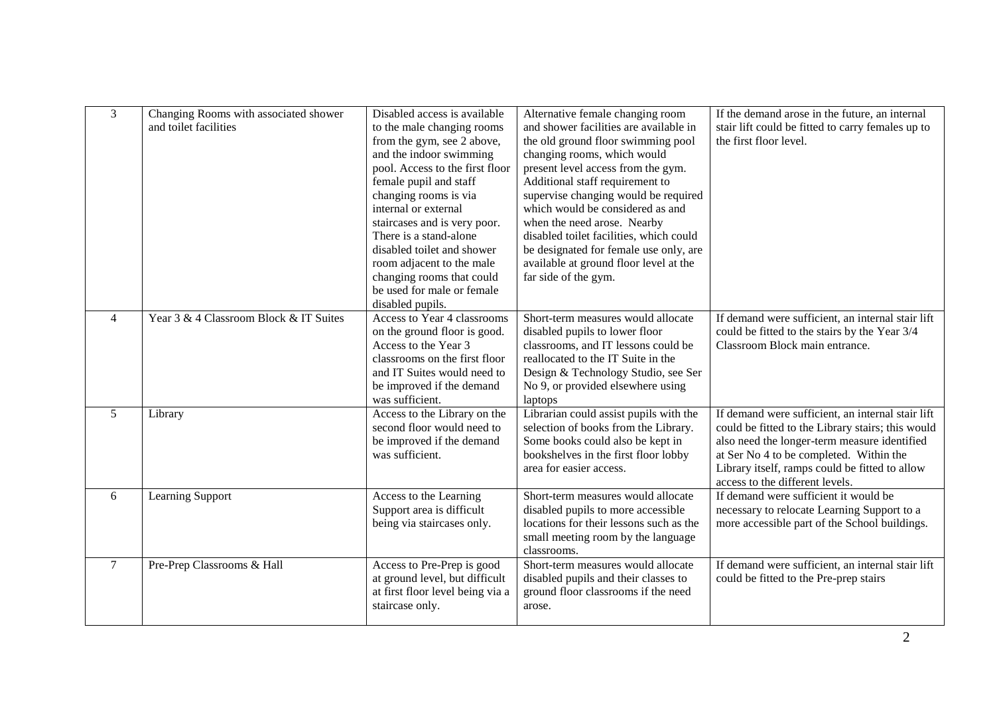| $\overline{3}$ | Changing Rooms with associated shower<br>and toilet facilities | Disabled access is available<br>to the male changing rooms<br>from the gym, see 2 above,<br>and the indoor swimming<br>pool. Access to the first floor<br>female pupil and staff<br>changing rooms is via<br>internal or external<br>staircases and is very poor.<br>There is a stand-alone<br>disabled toilet and shower<br>room adjacent to the male<br>changing rooms that could<br>be used for male or female<br>disabled pupils. | Alternative female changing room<br>and shower facilities are available in<br>the old ground floor swimming pool<br>changing rooms, which would<br>present level access from the gym.<br>Additional staff requirement to<br>supervise changing would be required<br>which would be considered as and<br>when the need arose. Nearby<br>disabled toilet facilities, which could<br>be designated for female use only, are<br>available at ground floor level at the<br>far side of the gym. | If the demand arose in the future, an internal<br>stair lift could be fitted to carry females up to<br>the first floor level.                                                                                                                                                          |
|----------------|----------------------------------------------------------------|---------------------------------------------------------------------------------------------------------------------------------------------------------------------------------------------------------------------------------------------------------------------------------------------------------------------------------------------------------------------------------------------------------------------------------------|--------------------------------------------------------------------------------------------------------------------------------------------------------------------------------------------------------------------------------------------------------------------------------------------------------------------------------------------------------------------------------------------------------------------------------------------------------------------------------------------|----------------------------------------------------------------------------------------------------------------------------------------------------------------------------------------------------------------------------------------------------------------------------------------|
| $\overline{4}$ | Year 3 & 4 Classroom Block & IT Suites                         | Access to Year 4 classrooms<br>on the ground floor is good.<br>Access to the Year 3<br>classrooms on the first floor<br>and IT Suites would need to<br>be improved if the demand<br>was sufficient.                                                                                                                                                                                                                                   | Short-term measures would allocate<br>disabled pupils to lower floor<br>classrooms, and IT lessons could be<br>reallocated to the IT Suite in the<br>Design & Technology Studio, see Ser<br>No 9, or provided elsewhere using<br>laptops                                                                                                                                                                                                                                                   | If demand were sufficient, an internal stair lift<br>could be fitted to the stairs by the Year 3/4<br>Classroom Block main entrance.                                                                                                                                                   |
| 5              | Library                                                        | Access to the Library on the<br>second floor would need to<br>be improved if the demand<br>was sufficient.                                                                                                                                                                                                                                                                                                                            | Librarian could assist pupils with the<br>selection of books from the Library.<br>Some books could also be kept in<br>bookshelves in the first floor lobby<br>area for easier access.                                                                                                                                                                                                                                                                                                      | If demand were sufficient, an internal stair lift<br>could be fitted to the Library stairs; this would<br>also need the longer-term measure identified<br>at Ser No 4 to be completed. Within the<br>Library itself, ramps could be fitted to allow<br>access to the different levels. |
| 6              | Learning Support                                               | Access to the Learning<br>Support area is difficult<br>being via staircases only.                                                                                                                                                                                                                                                                                                                                                     | Short-term measures would allocate<br>disabled pupils to more accessible<br>locations for their lessons such as the<br>small meeting room by the language<br>classrooms.                                                                                                                                                                                                                                                                                                                   | If demand were sufficient it would be<br>necessary to relocate Learning Support to a<br>more accessible part of the School buildings.                                                                                                                                                  |
| $\tau$         | Pre-Prep Classrooms & Hall                                     | Access to Pre-Prep is good<br>at ground level, but difficult<br>at first floor level being via a<br>staircase only.                                                                                                                                                                                                                                                                                                                   | Short-term measures would allocate<br>disabled pupils and their classes to<br>ground floor classrooms if the need<br>arose.                                                                                                                                                                                                                                                                                                                                                                | If demand were sufficient, an internal stair lift<br>could be fitted to the Pre-prep stairs                                                                                                                                                                                            |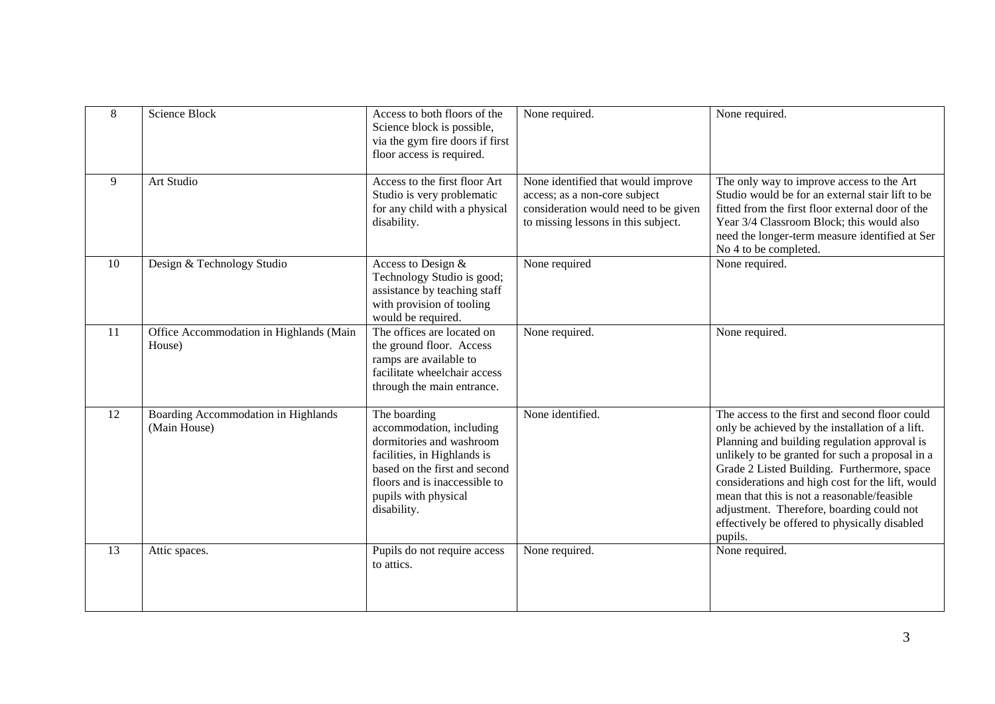| 8  | Science Block                                       | Access to both floors of the<br>Science block is possible,<br>via the gym fire doors if first<br>floor access is required.                                                                                   | None required.                                                                                                                                     | None required.                                                                                                                                                                                                                                                                                                                                                                                                                                                  |
|----|-----------------------------------------------------|--------------------------------------------------------------------------------------------------------------------------------------------------------------------------------------------------------------|----------------------------------------------------------------------------------------------------------------------------------------------------|-----------------------------------------------------------------------------------------------------------------------------------------------------------------------------------------------------------------------------------------------------------------------------------------------------------------------------------------------------------------------------------------------------------------------------------------------------------------|
| 9  | Art Studio                                          | Access to the first floor Art<br>Studio is very problematic<br>for any child with a physical<br>disability.                                                                                                  | None identified that would improve<br>access; as a non-core subject<br>consideration would need to be given<br>to missing lessons in this subject. | The only way to improve access to the Art<br>Studio would be for an external stair lift to be<br>fitted from the first floor external door of the<br>Year 3/4 Classroom Block; this would also<br>need the longer-term measure identified at Ser<br>No 4 to be completed.                                                                                                                                                                                       |
| 10 | Design & Technology Studio                          | Access to Design &<br>Technology Studio is good;<br>assistance by teaching staff<br>with provision of tooling<br>would be required.                                                                          | None required                                                                                                                                      | None required.                                                                                                                                                                                                                                                                                                                                                                                                                                                  |
| 11 | Office Accommodation in Highlands (Main<br>House)   | The offices are located on<br>the ground floor. Access<br>ramps are available to<br>facilitate wheelchair access<br>through the main entrance.                                                               | None required.                                                                                                                                     | None required.                                                                                                                                                                                                                                                                                                                                                                                                                                                  |
| 12 | Boarding Accommodation in Highlands<br>(Main House) | The boarding<br>accommodation, including<br>dormitories and washroom<br>facilities, in Highlands is<br>based on the first and second<br>floors and is inaccessible to<br>pupils with physical<br>disability. | None identified.                                                                                                                                   | The access to the first and second floor could<br>only be achieved by the installation of a lift.<br>Planning and building regulation approval is<br>unlikely to be granted for such a proposal in a<br>Grade 2 Listed Building. Furthermore, space<br>considerations and high cost for the lift, would<br>mean that this is not a reasonable/feasible<br>adjustment. Therefore, boarding could not<br>effectively be offered to physically disabled<br>pupils. |
| 13 | Attic spaces.                                       | Pupils do not require access<br>to attics.                                                                                                                                                                   | None required.                                                                                                                                     | None required.                                                                                                                                                                                                                                                                                                                                                                                                                                                  |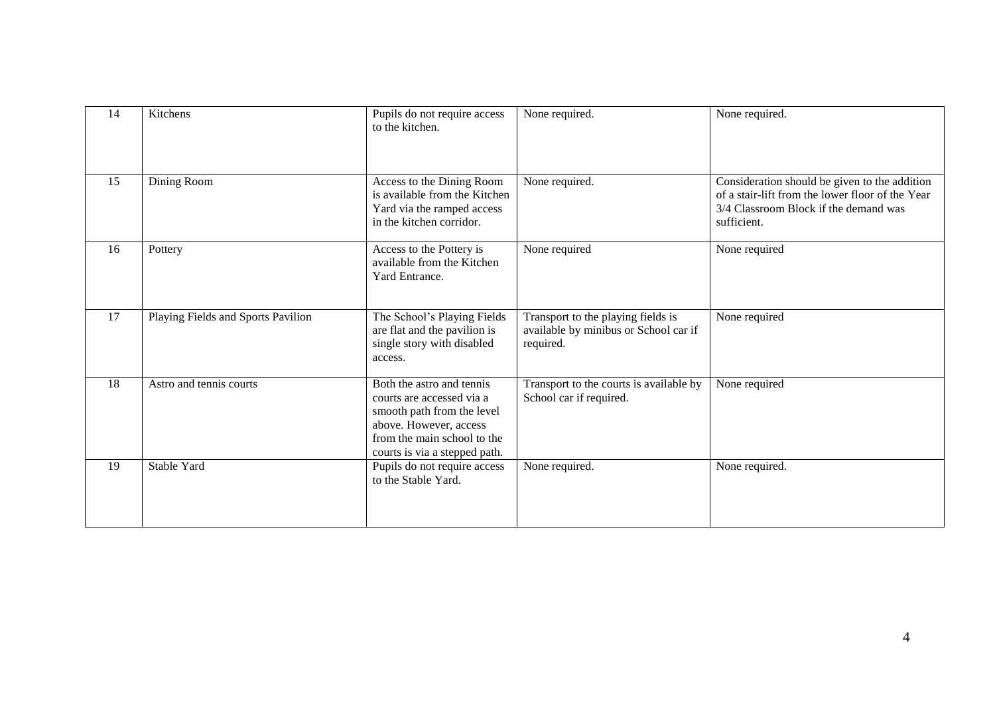| 14 | Kitchens                           | Pupils do not require access<br>to the kitchen.                                                                                                                                | None required.                                                                           | None required.                                                                                                                                            |
|----|------------------------------------|--------------------------------------------------------------------------------------------------------------------------------------------------------------------------------|------------------------------------------------------------------------------------------|-----------------------------------------------------------------------------------------------------------------------------------------------------------|
| 15 | Dining Room                        | Access to the Dining Room<br>is available from the Kitchen<br>Yard via the ramped access<br>in the kitchen corridor.                                                           | None required.                                                                           | Consideration should be given to the addition<br>of a stair-lift from the lower floor of the Year<br>3/4 Classroom Block if the demand was<br>sufficient. |
| 16 | Pottery                            | Access to the Pottery is<br>available from the Kitchen<br>Yard Entrance.                                                                                                       | None required                                                                            | None required                                                                                                                                             |
| 17 | Playing Fields and Sports Pavilion | The School's Playing Fields<br>are flat and the pavilion is<br>single story with disabled<br>access.                                                                           | Transport to the playing fields is<br>available by minibus or School car if<br>required. | None required                                                                                                                                             |
| 18 | Astro and tennis courts            | Both the astro and tennis<br>courts are accessed via a<br>smooth path from the level<br>above. However, access<br>from the main school to the<br>courts is via a stepped path. | Transport to the courts is available by<br>School car if required.                       | None required                                                                                                                                             |
| 19 | Stable Yard                        | Pupils do not require access<br>to the Stable Yard.                                                                                                                            | None required.                                                                           | None required.                                                                                                                                            |